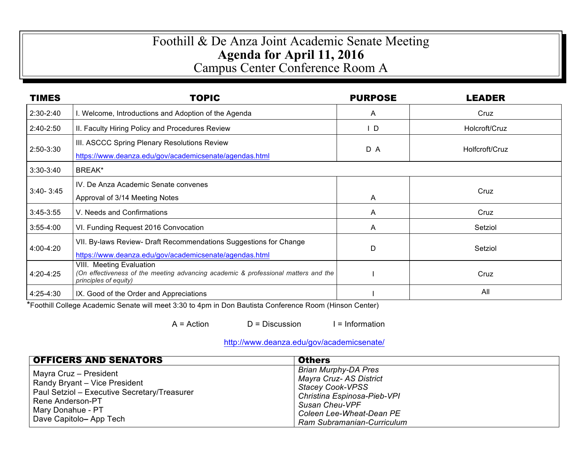## Foothill & De Anza Joint Academic Senate Meeting **Agenda for April 11, 2016**  Campus Center Conference Room A

| <b>TIMES</b>  | <b>TOPIC</b>                                                                                                   | <b>PURPOSE</b> | <b>LEADER</b>  |  |
|---------------|----------------------------------------------------------------------------------------------------------------|----------------|----------------|--|
| $2:30-2:40$   | I. Welcome, Introductions and Adoption of the Agenda                                                           | A              | Cruz           |  |
| $2:40 - 2:50$ | II. Faculty Hiring Policy and Procedures Review                                                                | ID.            | Holcroft/Cruz  |  |
| $2:50-3:30$   | III. ASCCC Spring Plenary Resolutions Review                                                                   | D A            | Holfcroft/Cruz |  |
|               | https://www.deanza.edu/gov/academicsenate/agendas.html                                                         |                |                |  |
| $3:30-3:40$   | BREAK*                                                                                                         |                |                |  |
| $3:40 - 3:45$ | IV. De Anza Academic Senate convenes                                                                           |                | Cruz           |  |
|               | Approval of 3/14 Meeting Notes                                                                                 | A              |                |  |
| $3:45-3:55$   | V. Needs and Confirmations                                                                                     | A              | Cruz           |  |
| $3:55-4:00$   | VI. Funding Request 2016 Convocation                                                                           | A              | Setziol        |  |
| 4:00-4:20     | VII. By-laws Review- Draft Recommendations Suggestions for Change                                              | D              | Setziol        |  |
|               | https://www.deanza.edu/gov/academicsenate/agendas.html                                                         |                |                |  |
| 4:20-4:25     | VIII. Meeting Evaluation<br>(On effectiveness of the meeting advancing academic & professional matters and the |                | Cruz           |  |
| 4:25-4:30     | principles of equity)<br>IX. Good of the Order and Appreciations                                               |                | All            |  |

\*Foothill College Academic Senate will meet 3:30 to 4pm in Don Bautista Conference Room (Hinson Center)

 $A = Action$   $D = Discussion$  I = Information

http://www.deanza.edu/gov/academicsenate/

| <b>OFFICERS AND SENATORS</b>                                                                                                                                                | <b>Others</b>                                                                                                                                                                                       |  |
|-----------------------------------------------------------------------------------------------------------------------------------------------------------------------------|-----------------------------------------------------------------------------------------------------------------------------------------------------------------------------------------------------|--|
| Mayra Cruz - President<br>Randy Bryant - Vice President<br>Paul Setziol - Executive Secretary/Treasurer<br>Rene Anderson-PT<br>Mary Donahue - PT<br>Dave Capitolo- App Tech | <b>Brian Murphy-DA Pres</b><br>Mayra Cruz- AS District<br><b>Stacey Cook-VPSS</b><br>Christina Espinosa-Pieb-VPI<br><b>Susan Cheu-VPF</b><br>Coleen Lee-Wheat-Dean PE<br>Ram Subramanian-Curriculum |  |